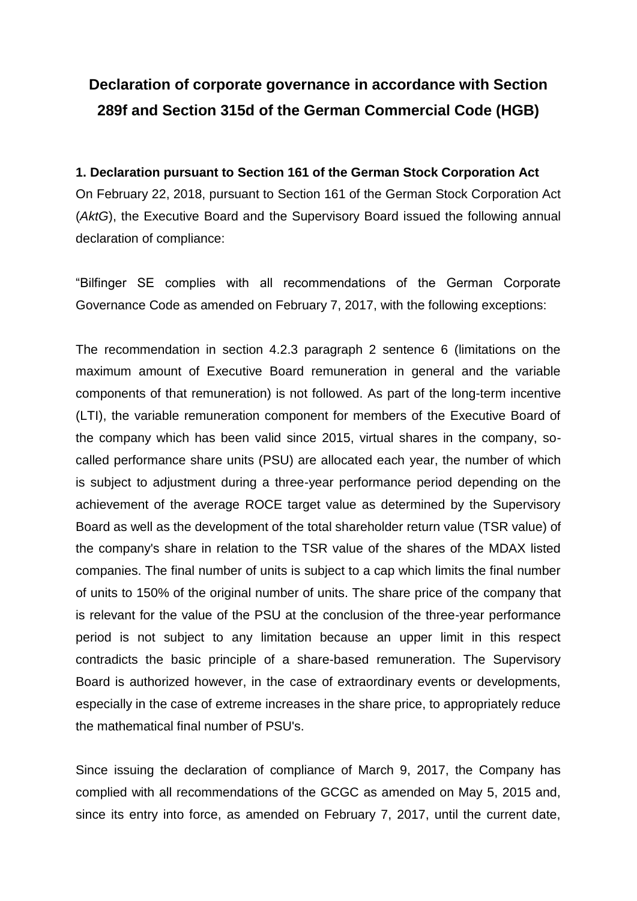# **Declaration of corporate governance in accordance with Section 289f and Section 315d of the German Commercial Code (HGB)**

# **1. Declaration pursuant to Section 161 of the German Stock Corporation Act** On February 22, 2018, pursuant to Section 161 of the German Stock Corporation Act (*AktG*), the Executive Board and the Supervisory Board issued the following annual declaration of compliance:

"Bilfinger SE complies with all recommendations of the German Corporate Governance Code as amended on February 7, 2017, with the following exceptions:

The recommendation in section 4.2.3 paragraph 2 sentence 6 (limitations on the maximum amount of Executive Board remuneration in general and the variable components of that remuneration) is not followed. As part of the long-term incentive (LTI), the variable remuneration component for members of the Executive Board of the company which has been valid since 2015, virtual shares in the company, socalled performance share units (PSU) are allocated each year, the number of which is subject to adjustment during a three-year performance period depending on the achievement of the average ROCE target value as determined by the Supervisory Board as well as the development of the total shareholder return value (TSR value) of the company's share in relation to the TSR value of the shares of the MDAX listed companies. The final number of units is subject to a cap which limits the final number of units to 150% of the original number of units. The share price of the company that is relevant for the value of the PSU at the conclusion of the three-year performance period is not subject to any limitation because an upper limit in this respect contradicts the basic principle of a share-based remuneration. The Supervisory Board is authorized however, in the case of extraordinary events or developments, especially in the case of extreme increases in the share price, to appropriately reduce the mathematical final number of PSU's.

Since issuing the declaration of compliance of March 9, 2017, the Company has complied with all recommendations of the GCGC as amended on May 5, 2015 and, since its entry into force, as amended on February 7, 2017, until the current date,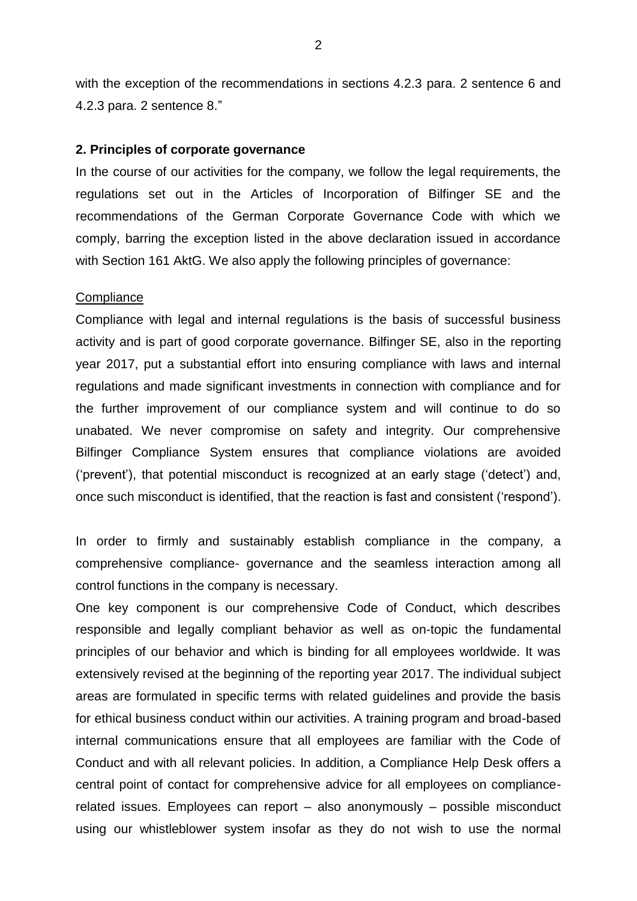with the exception of the recommendations in sections 4.2.3 para. 2 sentence 6 and 4.2.3 para. 2 sentence 8."

#### **2. Principles of corporate governance**

In the course of our activities for the company, we follow the legal requirements, the regulations set out in the Articles of Incorporation of Bilfinger SE and the recommendations of the German Corporate Governance Code with which we comply, barring the exception listed in the above declaration issued in accordance with Section 161 AktG. We also apply the following principles of governance:

#### **Compliance**

Compliance with legal and internal regulations is the basis of successful business activity and is part of good corporate governance. Bilfinger SE, also in the reporting year 2017, put a substantial effort into ensuring compliance with laws and internal regulations and made significant investments in connection with compliance and for the further improvement of our compliance system and will continue to do so unabated. We never compromise on safety and integrity. Our comprehensive Bilfinger Compliance System ensures that compliance violations are avoided ('prevent'), that potential misconduct is recognized at an early stage ('detect') and, once such misconduct is identified, that the reaction is fast and consistent ('respond').

In order to firmly and sustainably establish compliance in the company, a comprehensive compliance- governance and the seamless interaction among all control functions in the company is necessary.

One key component is our comprehensive Code of Conduct, which describes responsible and legally compliant behavior as well as on-topic the fundamental principles of our behavior and which is binding for all employees worldwide. It was extensively revised at the beginning of the reporting year 2017. The individual subject areas are formulated in specific terms with related guidelines and provide the basis for ethical business conduct within our activities. A training program and broad-based internal communications ensure that all employees are familiar with the Code of Conduct and with all relevant policies. In addition, a Compliance Help Desk offers a central point of contact for comprehensive advice for all employees on compliancerelated issues. Employees can report – also anonymously – possible misconduct using our whistleblower system insofar as they do not wish to use the normal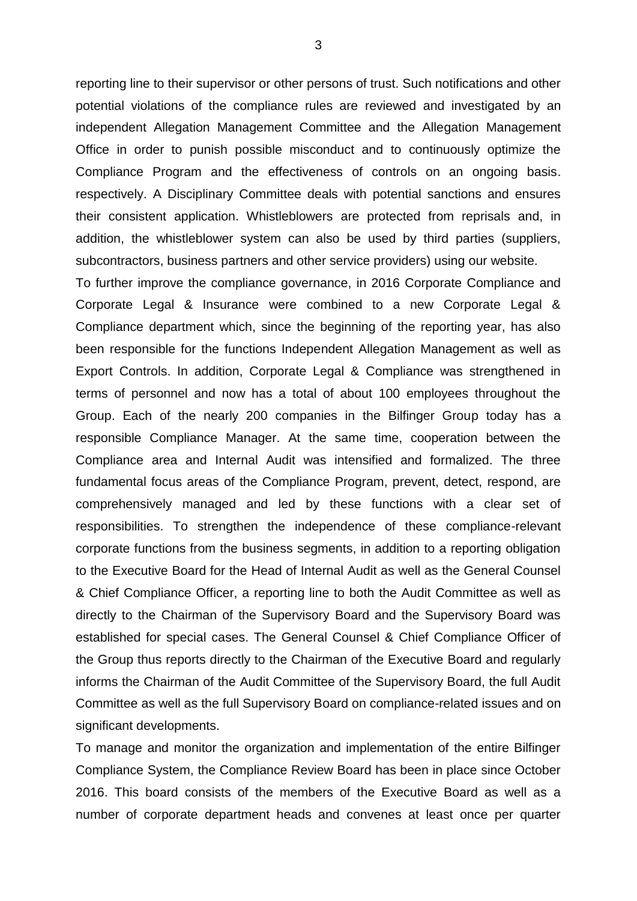reporting line to their supervisor or other persons of trust. Such notifications and other potential violations of the compliance rules are reviewed and investigated by an independent Allegation Management Committee and the Allegation Management Office in order to punish possible misconduct and to continuously optimize the Compliance Program and the effectiveness of controls on an ongoing basis. respectively. A Disciplinary Committee deals with potential sanctions and ensures their consistent application. Whistleblowers are protected from reprisals and, in addition, the whistleblower system can also be used by third parties (suppliers, subcontractors, business partners and other service providers) using our website.

To further improve the compliance governance, in 2016 Corporate Compliance and Corporate Legal & Insurance were combined to a new Corporate Legal & Compliance department which, since the beginning of the reporting year, has also been responsible for the functions Independent Allegation Management as well as Export Controls. In addition, Corporate Legal & Compliance was strengthened in terms of personnel and now has a total of about 100 employees throughout the Group. Each of the nearly 200 companies in the Bilfinger Group today has a responsible Compliance Manager. At the same time, cooperation between the Compliance area and Internal Audit was intensified and formalized. The three fundamental focus areas of the Compliance Program, prevent, detect, respond, are comprehensively managed and led by these functions with a clear set of responsibilities. To strengthen the independence of these compliance-relevant corporate functions from the business segments, in addition to a reporting obligation to the Executive Board for the Head of Internal Audit as well as the General Counsel & Chief Compliance Officer, a reporting line to both the Audit Committee as well as directly to the Chairman of the Supervisory Board and the Supervisory Board was established for special cases. The General Counsel & Chief Compliance Officer of the Group thus reports directly to the Chairman of the Executive Board and regularly informs the Chairman of the Audit Committee of the Supervisory Board, the full Audit Committee as well as the full Supervisory Board on compliance-related issues and on significant developments.

To manage and monitor the organization and implementation of the entire Bilfinger Compliance System, the Compliance Review Board has been in place since October 2016. This board consists of the members of the Executive Board as well as a number of corporate department heads and convenes at least once per quarter

3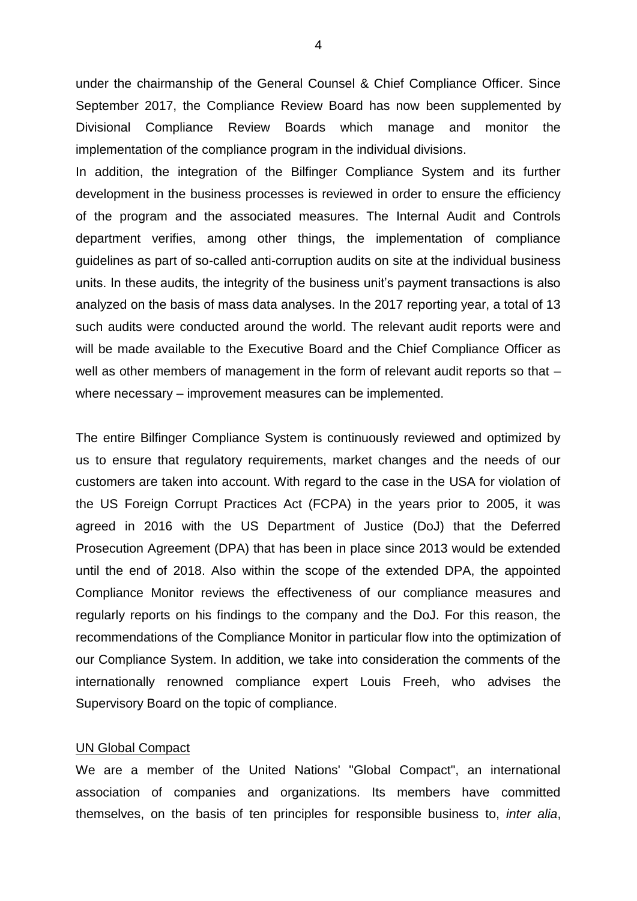under the chairmanship of the General Counsel & Chief Compliance Officer. Since September 2017, the Compliance Review Board has now been supplemented by Divisional Compliance Review Boards which manage and monitor the implementation of the compliance program in the individual divisions.

In addition, the integration of the Bilfinger Compliance System and its further development in the business processes is reviewed in order to ensure the efficiency of the program and the associated measures. The Internal Audit and Controls department verifies, among other things, the implementation of compliance guidelines as part of so-called anti-corruption audits on site at the individual business units. In these audits, the integrity of the business unit's payment transactions is also analyzed on the basis of mass data analyses. In the 2017 reporting year, a total of 13 such audits were conducted around the world. The relevant audit reports were and will be made available to the Executive Board and the Chief Compliance Officer as well as other members of management in the form of relevant audit reports so that – where necessary – improvement measures can be implemented.

The entire Bilfinger Compliance System is continuously reviewed and optimized by us to ensure that regulatory requirements, market changes and the needs of our customers are taken into account. With regard to the case in the USA for violation of the US Foreign Corrupt Practices Act (FCPA) in the years prior to 2005, it was agreed in 2016 with the US Department of Justice (DoJ) that the Deferred Prosecution Agreement (DPA) that has been in place since 2013 would be extended until the end of 2018. Also within the scope of the extended DPA, the appointed Compliance Monitor reviews the effectiveness of our compliance measures and regularly reports on his findings to the company and the DoJ. For this reason, the recommendations of the Compliance Monitor in particular flow into the optimization of our Compliance System. In addition, we take into consideration the comments of the internationally renowned compliance expert Louis Freeh, who advises the Supervisory Board on the topic of compliance.

#### UN Global Compact

We are a member of the United Nations' "Global Compact", an international association of companies and organizations. Its members have committed themselves, on the basis of ten principles for responsible business to, *inter alia*,

4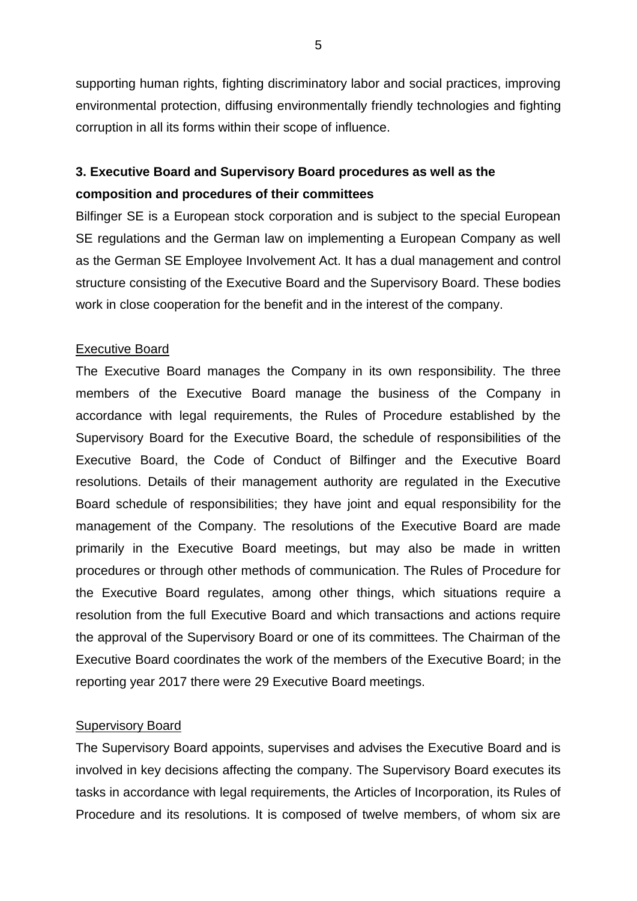supporting human rights, fighting discriminatory labor and social practices, improving environmental protection, diffusing environmentally friendly technologies and fighting corruption in all its forms within their scope of influence.

# **3. Executive Board and Supervisory Board procedures as well as the composition and procedures of their committees**

Bilfinger SE is a European stock corporation and is subject to the special European SE regulations and the German law on implementing a European Company as well as the German SE Employee Involvement Act. It has a dual management and control structure consisting of the Executive Board and the Supervisory Board. These bodies work in close cooperation for the benefit and in the interest of the company.

## Executive Board

The Executive Board manages the Company in its own responsibility. The three members of the Executive Board manage the business of the Company in accordance with legal requirements, the Rules of Procedure established by the Supervisory Board for the Executive Board, the schedule of responsibilities of the Executive Board, the Code of Conduct of Bilfinger and the Executive Board resolutions. Details of their management authority are regulated in the Executive Board schedule of responsibilities; they have joint and equal responsibility for the management of the Company. The resolutions of the Executive Board are made primarily in the Executive Board meetings, but may also be made in written procedures or through other methods of communication. The Rules of Procedure for the Executive Board regulates, among other things, which situations require a resolution from the full Executive Board and which transactions and actions require the approval of the Supervisory Board or one of its committees. The Chairman of the Executive Board coordinates the work of the members of the Executive Board; in the reporting year 2017 there were 29 Executive Board meetings.

# Supervisory Board

The Supervisory Board appoints, supervises and advises the Executive Board and is involved in key decisions affecting the company. The Supervisory Board executes its tasks in accordance with legal requirements, the Articles of Incorporation, its Rules of Procedure and its resolutions. It is composed of twelve members, of whom six are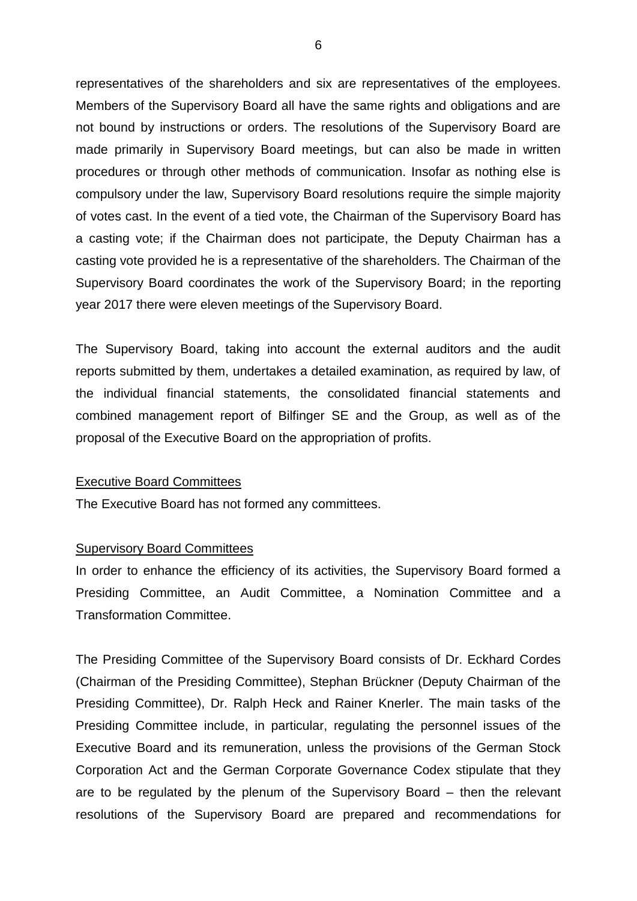representatives of the shareholders and six are representatives of the employees. Members of the Supervisory Board all have the same rights and obligations and are not bound by instructions or orders. The resolutions of the Supervisory Board are made primarily in Supervisory Board meetings, but can also be made in written procedures or through other methods of communication. Insofar as nothing else is compulsory under the law, Supervisory Board resolutions require the simple majority of votes cast. In the event of a tied vote, the Chairman of the Supervisory Board has a casting vote; if the Chairman does not participate, the Deputy Chairman has a casting vote provided he is a representative of the shareholders. The Chairman of the Supervisory Board coordinates the work of the Supervisory Board; in the reporting year 2017 there were eleven meetings of the Supervisory Board.

The Supervisory Board, taking into account the external auditors and the audit reports submitted by them, undertakes a detailed examination, as required by law, of the individual financial statements, the consolidated financial statements and combined management report of Bilfinger SE and the Group, as well as of the proposal of the Executive Board on the appropriation of profits.

#### Executive Board Committees

The Executive Board has not formed any committees.

#### Supervisory Board Committees

In order to enhance the efficiency of its activities, the Supervisory Board formed a Presiding Committee, an Audit Committee, a Nomination Committee and a Transformation Committee.

The Presiding Committee of the Supervisory Board consists of Dr. Eckhard Cordes (Chairman of the Presiding Committee), Stephan Brückner (Deputy Chairman of the Presiding Committee), Dr. Ralph Heck and Rainer Knerler. The main tasks of the Presiding Committee include, in particular, regulating the personnel issues of the Executive Board and its remuneration, unless the provisions of the German Stock Corporation Act and the German Corporate Governance Codex stipulate that they are to be regulated by the plenum of the Supervisory Board – then the relevant resolutions of the Supervisory Board are prepared and recommendations for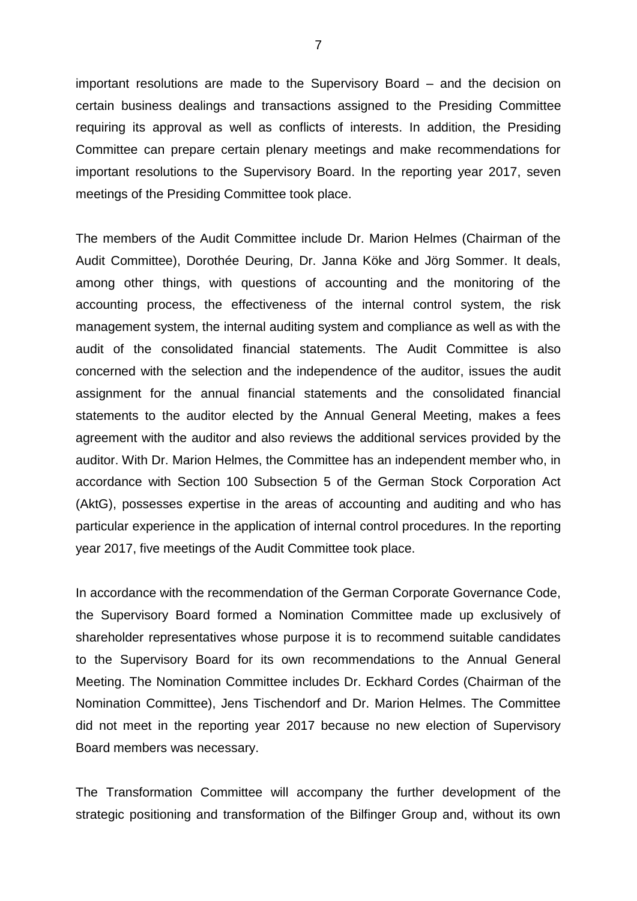important resolutions are made to the Supervisory Board – and the decision on certain business dealings and transactions assigned to the Presiding Committee requiring its approval as well as conflicts of interests. In addition, the Presiding Committee can prepare certain plenary meetings and make recommendations for important resolutions to the Supervisory Board. In the reporting year 2017, seven meetings of the Presiding Committee took place.

The members of the Audit Committee include Dr. Marion Helmes (Chairman of the Audit Committee), Dorothée Deuring, Dr. Janna Köke and Jörg Sommer. It deals, among other things, with questions of accounting and the monitoring of the accounting process, the effectiveness of the internal control system, the risk management system, the internal auditing system and compliance as well as with the audit of the consolidated financial statements. The Audit Committee is also concerned with the selection and the independence of the auditor, issues the audit assignment for the annual financial statements and the consolidated financial statements to the auditor elected by the Annual General Meeting, makes a fees agreement with the auditor and also reviews the additional services provided by the auditor. With Dr. Marion Helmes, the Committee has an independent member who, in accordance with Section 100 Subsection 5 of the German Stock Corporation Act (AktG), possesses expertise in the areas of accounting and auditing and who has particular experience in the application of internal control procedures. In the reporting year 2017, five meetings of the Audit Committee took place.

In accordance with the recommendation of the German Corporate Governance Code, the Supervisory Board formed a Nomination Committee made up exclusively of shareholder representatives whose purpose it is to recommend suitable candidates to the Supervisory Board for its own recommendations to the Annual General Meeting. The Nomination Committee includes Dr. Eckhard Cordes (Chairman of the Nomination Committee), Jens Tischendorf and Dr. Marion Helmes. The Committee did not meet in the reporting year 2017 because no new election of Supervisory Board members was necessary.

The Transformation Committee will accompany the further development of the strategic positioning and transformation of the Bilfinger Group and, without its own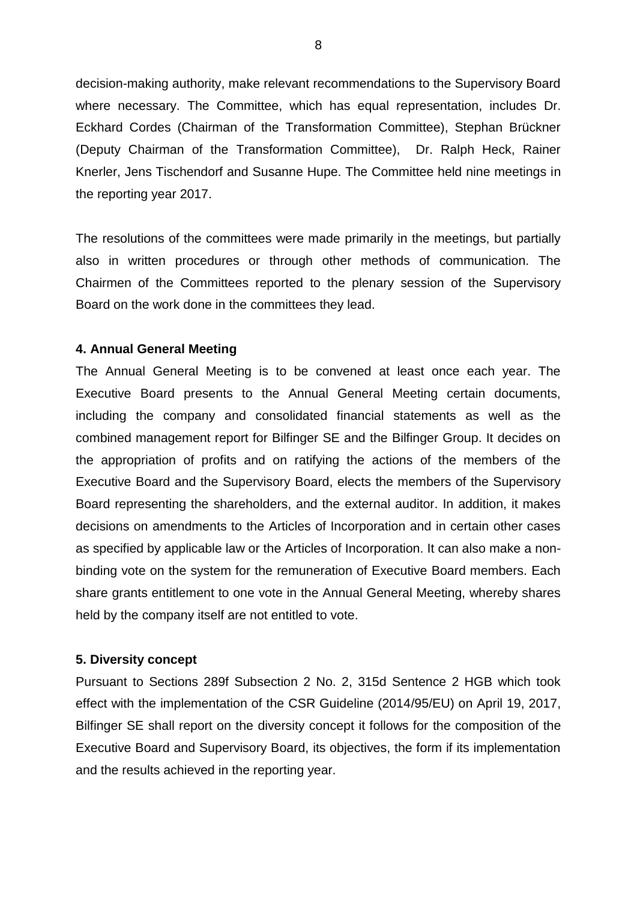decision-making authority, make relevant recommendations to the Supervisory Board where necessary. The Committee, which has equal representation, includes Dr. Eckhard Cordes (Chairman of the Transformation Committee), Stephan Brückner (Deputy Chairman of the Transformation Committee), Dr. Ralph Heck, Rainer Knerler, Jens Tischendorf and Susanne Hupe. The Committee held nine meetings in the reporting year 2017.

The resolutions of the committees were made primarily in the meetings, but partially also in written procedures or through other methods of communication. The Chairmen of the Committees reported to the plenary session of the Supervisory Board on the work done in the committees they lead.

### **4. Annual General Meeting**

The Annual General Meeting is to be convened at least once each year. The Executive Board presents to the Annual General Meeting certain documents, including the company and consolidated financial statements as well as the combined management report for Bilfinger SE and the Bilfinger Group. It decides on the appropriation of profits and on ratifying the actions of the members of the Executive Board and the Supervisory Board, elects the members of the Supervisory Board representing the shareholders, and the external auditor. In addition, it makes decisions on amendments to the Articles of Incorporation and in certain other cases as specified by applicable law or the Articles of Incorporation. It can also make a nonbinding vote on the system for the remuneration of Executive Board members. Each share grants entitlement to one vote in the Annual General Meeting, whereby shares held by the company itself are not entitled to vote.

## **5. Diversity concept**

Pursuant to Sections 289f Subsection 2 No. 2, 315d Sentence 2 HGB which took effect with the implementation of the CSR Guideline (2014/95/EU) on April 19, 2017, Bilfinger SE shall report on the diversity concept it follows for the composition of the Executive Board and Supervisory Board, its objectives, the form if its implementation and the results achieved in the reporting year.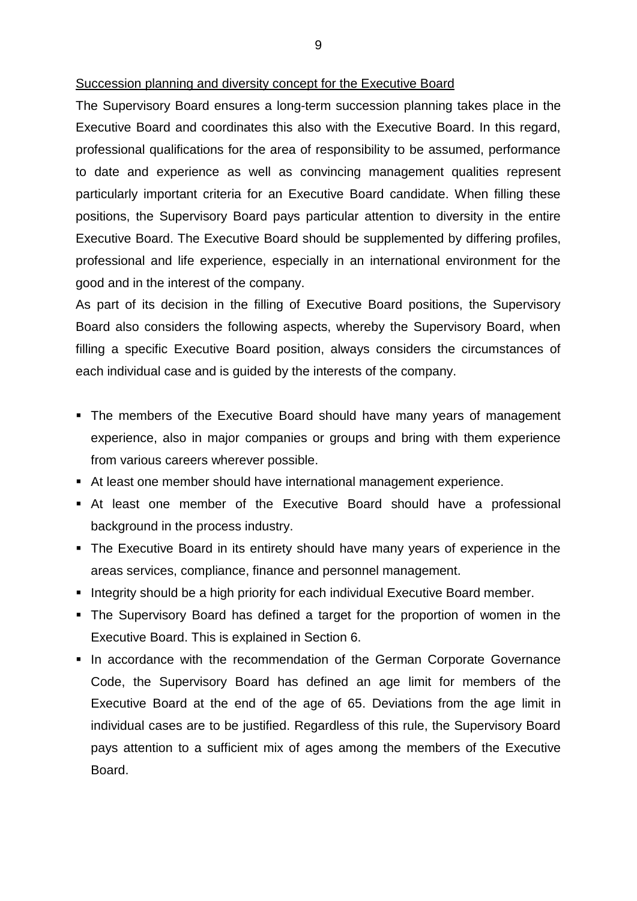#### Succession planning and diversity concept for the Executive Board

The Supervisory Board ensures a long-term succession planning takes place in the Executive Board and coordinates this also with the Executive Board. In this regard, professional qualifications for the area of responsibility to be assumed, performance to date and experience as well as convincing management qualities represent particularly important criteria for an Executive Board candidate. When filling these positions, the Supervisory Board pays particular attention to diversity in the entire Executive Board. The Executive Board should be supplemented by differing profiles, professional and life experience, especially in an international environment for the good and in the interest of the company.

As part of its decision in the filling of Executive Board positions, the Supervisory Board also considers the following aspects, whereby the Supervisory Board, when filling a specific Executive Board position, always considers the circumstances of each individual case and is guided by the interests of the company.

- The members of the Executive Board should have many years of management experience, also in major companies or groups and bring with them experience from various careers wherever possible.
- At least one member should have international management experience.
- At least one member of the Executive Board should have a professional background in the process industry.
- The Executive Board in its entirety should have many years of experience in the areas services, compliance, finance and personnel management.
- **Integrity should be a high priority for each individual Executive Board member.**
- The Supervisory Board has defined a target for the proportion of women in the Executive Board. This is explained in Section 6.
- **In accordance with the recommendation of the German Corporate Governance** Code, the Supervisory Board has defined an age limit for members of the Executive Board at the end of the age of 65. Deviations from the age limit in individual cases are to be justified. Regardless of this rule, the Supervisory Board pays attention to a sufficient mix of ages among the members of the Executive **Board**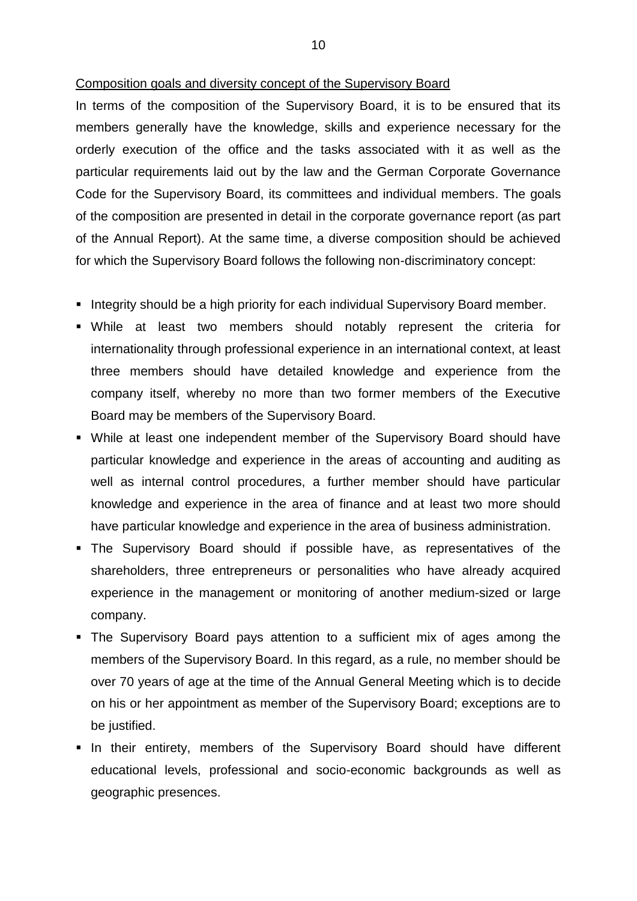#### Composition goals and diversity concept of the Supervisory Board

In terms of the composition of the Supervisory Board, it is to be ensured that its members generally have the knowledge, skills and experience necessary for the orderly execution of the office and the tasks associated with it as well as the particular requirements laid out by the law and the German Corporate Governance Code for the Supervisory Board, its committees and individual members. The goals of the composition are presented in detail in the corporate governance report (as part of the Annual Report). At the same time, a diverse composition should be achieved for which the Supervisory Board follows the following non-discriminatory concept:

- **Integrity should be a high priority for each individual Supervisory Board member.**
- While at least two members should notably represent the criteria for internationality through professional experience in an international context, at least three members should have detailed knowledge and experience from the company itself, whereby no more than two former members of the Executive Board may be members of the Supervisory Board.
- While at least one independent member of the Supervisory Board should have particular knowledge and experience in the areas of accounting and auditing as well as internal control procedures, a further member should have particular knowledge and experience in the area of finance and at least two more should have particular knowledge and experience in the area of business administration.
- The Supervisory Board should if possible have, as representatives of the shareholders, three entrepreneurs or personalities who have already acquired experience in the management or monitoring of another medium-sized or large company.
- The Supervisory Board pays attention to a sufficient mix of ages among the members of the Supervisory Board. In this regard, as a rule, no member should be over 70 years of age at the time of the Annual General Meeting which is to decide on his or her appointment as member of the Supervisory Board; exceptions are to be justified.
- **In their entirety, members of the Supervisory Board should have different** educational levels, professional and socio-economic backgrounds as well as geographic presences.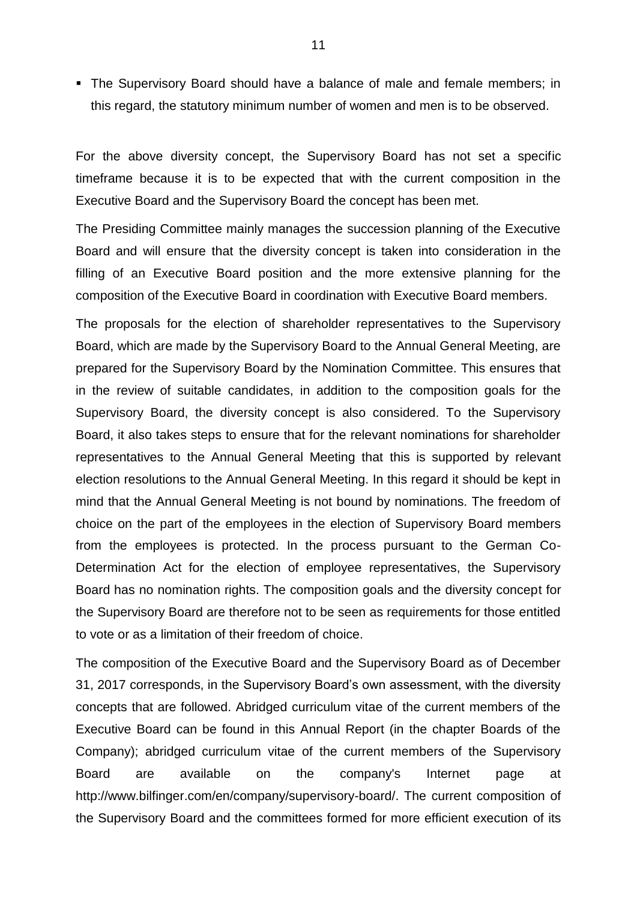The Supervisory Board should have a balance of male and female members; in this regard, the statutory minimum number of women and men is to be observed.

For the above diversity concept, the Supervisory Board has not set a specific timeframe because it is to be expected that with the current composition in the Executive Board and the Supervisory Board the concept has been met.

The Presiding Committee mainly manages the succession planning of the Executive Board and will ensure that the diversity concept is taken into consideration in the filling of an Executive Board position and the more extensive planning for the composition of the Executive Board in coordination with Executive Board members.

The proposals for the election of shareholder representatives to the Supervisory Board, which are made by the Supervisory Board to the Annual General Meeting, are prepared for the Supervisory Board by the Nomination Committee. This ensures that in the review of suitable candidates, in addition to the composition goals for the Supervisory Board, the diversity concept is also considered. To the Supervisory Board, it also takes steps to ensure that for the relevant nominations for shareholder representatives to the Annual General Meeting that this is supported by relevant election resolutions to the Annual General Meeting. In this regard it should be kept in mind that the Annual General Meeting is not bound by nominations. The freedom of choice on the part of the employees in the election of Supervisory Board members from the employees is protected. In the process pursuant to the German Co-Determination Act for the election of employee representatives, the Supervisory Board has no nomination rights. The composition goals and the diversity concept for the Supervisory Board are therefore not to be seen as requirements for those entitled to vote or as a limitation of their freedom of choice.

The composition of the Executive Board and the Supervisory Board as of December 31, 2017 corresponds, in the Supervisory Board's own assessment, with the diversity concepts that are followed. Abridged curriculum vitae of the current members of the Executive Board can be found in this Annual Report (in the chapter Boards of the Company); abridged curriculum vitae of the current members of the Supervisory Board are available on the company's Internet page at http://www.bilfinger.com/en/company/supervisory-board/. The current composition of the Supervisory Board and the committees formed for more efficient execution of its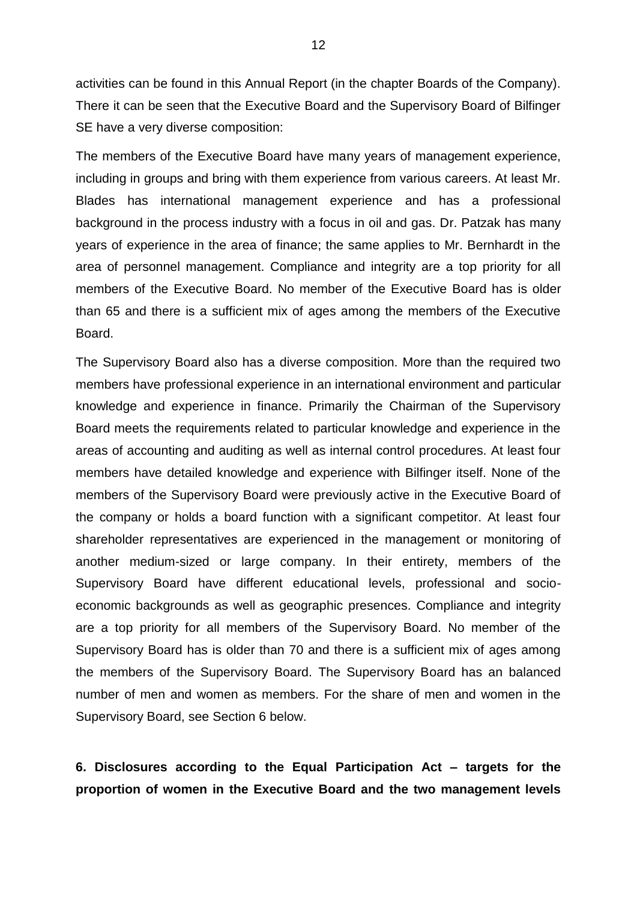activities can be found in this Annual Report (in the chapter Boards of the Company). There it can be seen that the Executive Board and the Supervisory Board of Bilfinger SE have a very diverse composition:

The members of the Executive Board have many years of management experience, including in groups and bring with them experience from various careers. At least Mr. Blades has international management experience and has a professional background in the process industry with a focus in oil and gas. Dr. Patzak has many years of experience in the area of finance; the same applies to Mr. Bernhardt in the area of personnel management. Compliance and integrity are a top priority for all members of the Executive Board. No member of the Executive Board has is older than 65 and there is a sufficient mix of ages among the members of the Executive Board.

The Supervisory Board also has a diverse composition. More than the required two members have professional experience in an international environment and particular knowledge and experience in finance. Primarily the Chairman of the Supervisory Board meets the requirements related to particular knowledge and experience in the areas of accounting and auditing as well as internal control procedures. At least four members have detailed knowledge and experience with Bilfinger itself. None of the members of the Supervisory Board were previously active in the Executive Board of the company or holds a board function with a significant competitor. At least four shareholder representatives are experienced in the management or monitoring of another medium-sized or large company. In their entirety, members of the Supervisory Board have different educational levels, professional and socioeconomic backgrounds as well as geographic presences. Compliance and integrity are a top priority for all members of the Supervisory Board. No member of the Supervisory Board has is older than 70 and there is a sufficient mix of ages among the members of the Supervisory Board. The Supervisory Board has an balanced number of men and women as members. For the share of men and women in the Supervisory Board, see Section 6 below.

# **6. Disclosures according to the Equal Participation Act – targets for the proportion of women in the Executive Board and the two management levels**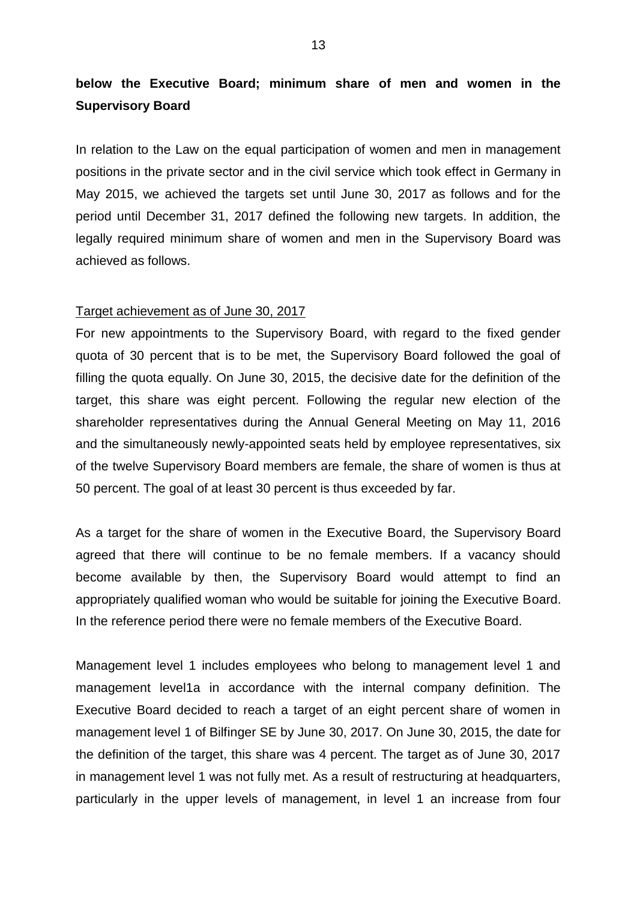# **below the Executive Board; minimum share of men and women in the Supervisory Board**

In relation to the Law on the equal participation of women and men in management positions in the private sector and in the civil service which took effect in Germany in May 2015, we achieved the targets set until June 30, 2017 as follows and for the period until December 31, 2017 defined the following new targets. In addition, the legally required minimum share of women and men in the Supervisory Board was achieved as follows.

#### Target achievement as of June 30, 2017

For new appointments to the Supervisory Board, with regard to the fixed gender quota of 30 percent that is to be met, the Supervisory Board followed the goal of filling the quota equally. On June 30, 2015, the decisive date for the definition of the target, this share was eight percent. Following the regular new election of the shareholder representatives during the Annual General Meeting on May 11, 2016 and the simultaneously newly-appointed seats held by employee representatives, six of the twelve Supervisory Board members are female, the share of women is thus at 50 percent. The goal of at least 30 percent is thus exceeded by far.

As a target for the share of women in the Executive Board, the Supervisory Board agreed that there will continue to be no female members. If a vacancy should become available by then, the Supervisory Board would attempt to find an appropriately qualified woman who would be suitable for joining the Executive Board. In the reference period there were no female members of the Executive Board.

Management level 1 includes employees who belong to management level 1 and management level1a in accordance with the internal company definition. The Executive Board decided to reach a target of an eight percent share of women in management level 1 of Bilfinger SE by June 30, 2017. On June 30, 2015, the date for the definition of the target, this share was 4 percent. The target as of June 30, 2017 in management level 1 was not fully met. As a result of restructuring at headquarters, particularly in the upper levels of management, in level 1 an increase from four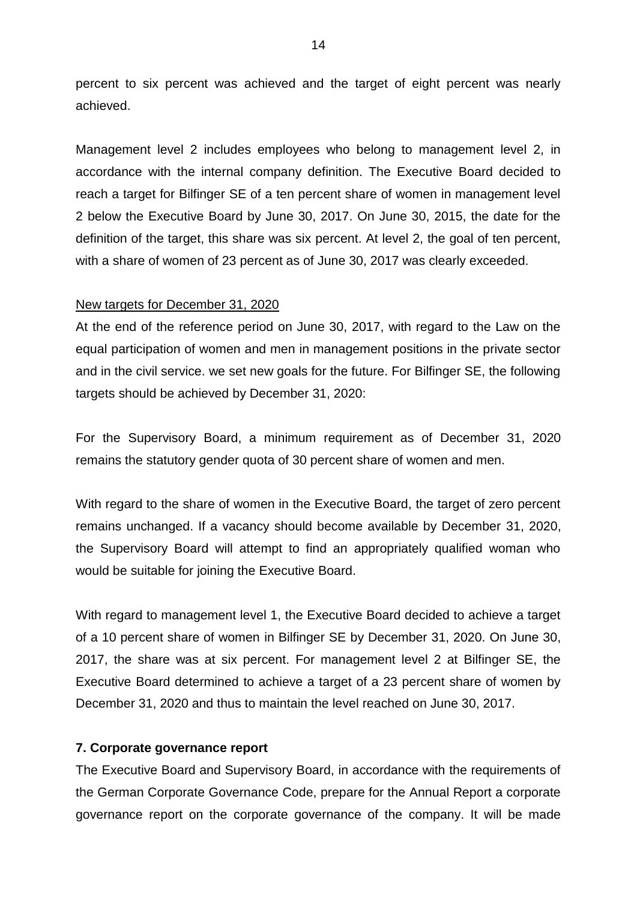percent to six percent was achieved and the target of eight percent was nearly achieved.

Management level 2 includes employees who belong to management level 2, in accordance with the internal company definition. The Executive Board decided to reach a target for Bilfinger SE of a ten percent share of women in management level 2 below the Executive Board by June 30, 2017. On June 30, 2015, the date for the definition of the target, this share was six percent. At level 2, the goal of ten percent, with a share of women of 23 percent as of June 30, 2017 was clearly exceeded.

### New targets for December 31, 2020

At the end of the reference period on June 30, 2017, with regard to the Law on the equal participation of women and men in management positions in the private sector and in the civil service. we set new goals for the future. For Bilfinger SE, the following targets should be achieved by December 31, 2020:

For the Supervisory Board, a minimum requirement as of December 31, 2020 remains the statutory gender quota of 30 percent share of women and men.

With regard to the share of women in the Executive Board, the target of zero percent remains unchanged. If a vacancy should become available by December 31, 2020, the Supervisory Board will attempt to find an appropriately qualified woman who would be suitable for joining the Executive Board.

With regard to management level 1, the Executive Board decided to achieve a target of a 10 percent share of women in Bilfinger SE by December 31, 2020. On June 30, 2017, the share was at six percent. For management level 2 at Bilfinger SE, the Executive Board determined to achieve a target of a 23 percent share of women by December 31, 2020 and thus to maintain the level reached on June 30, 2017.

## **7. Corporate governance report**

The Executive Board and Supervisory Board, in accordance with the requirements of the German Corporate Governance Code, prepare for the Annual Report a corporate governance report on the corporate governance of the company. It will be made